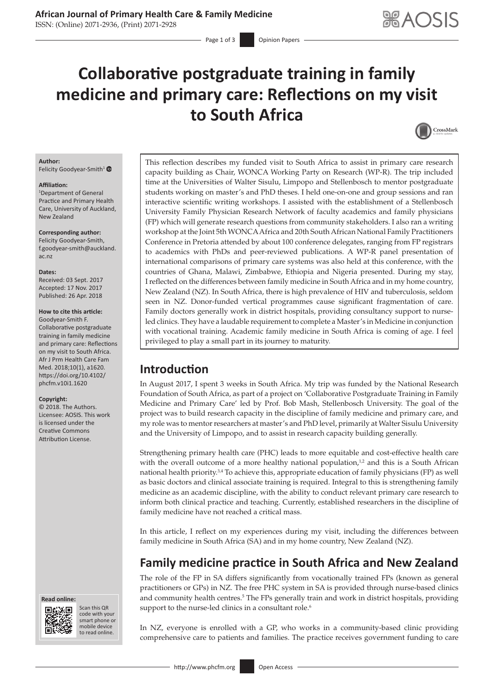ISSN: (Online) 2071-2936, (Print) 2071-2928

# **Collaborative postgraduate training in family medicine and primary care: Reflections on my visit to South Africa**



### **Author:**

Felicity Goodyear-Smith<sup>[1](https://orcid.org/0000-0002-6657-9401)</sup>  $\bullet$ 

#### **Affiliation:**

1 Department of General Practice and Primary Health Care, University of Auckland, New Zealand

### **Corresponding author:**

Felicity Goodyear-Smith, [f.goodyear-smith@auckland.](mailto:f.goodyear-smith@auckland.ac.nz) [ac.nz](mailto:f.goodyear-smith@auckland.ac.nz)

#### **Dates:**

Received: 03 Sept. 2017 Accepted: 17 Nov. 2017 Published: 26 Apr. 2018

#### **How to cite this article:**

Goodyear-Smith F. Collaborative postgraduate training in family medicine and primary care: Reflections on my visit to South Africa. Afr J Prm Health Care Fam Med. 2018;10(1), a1620. [https://doi.org/10.4102/](https://doi.org/10.4102/phcfm.v10i1.1620) [phcfm.v10i1.1620](https://doi.org/10.4102/phcfm.v10i1.1620)

#### **Copyright:**

© 2018. The Authors. Licensee: AOSIS. This work is licensed under the Creative Commons Attribution License.





Scan this QR code with your Scan this QR<br>code with your<br>smart phone or<br>mobile device mobile device to read online. to read online.

This reflection describes my funded visit to South Africa to assist in primary care research capacity building as Chair, WONCA Working Party on Research (WP-R). The trip included time at the Universities of Walter Sisulu, Limpopo and Stellenbosch to mentor postgraduate students working on master's and PhD theses. I held one-on-one and group sessions and ran interactive scientific writing workshops. I assisted with the establishment of a Stellenbosch University Family Physician Research Network of faculty academics and family physicians (FP) which will generate research questions from community stakeholders. I also ran a writing workshop at the Joint 5th WONCA Africa and 20th South African National Family Practitioners Conference in Pretoria attended by about 100 conference delegates, ranging from FP registrars to academics with PhDs and peer-reviewed publications. A WP-R panel presentation of international comparisons of primary care systems was also held at this conference, with the countries of Ghana, Malawi, Zimbabwe, Ethiopia and Nigeria presented. During my stay, Ireflected on the differences between family medicine in South Africa and in my home country, New Zealand (NZ). In South Africa, there is high prevalence of HIV and tuberculosis, seldom seen in NZ. Donor-funded vertical programmes cause significant fragmentation of care. Family doctors generally work in district hospitals, providing consultancy support to nurseled clinics. They have a laudable requirement to complete a Master's in Medicine in conjunction with vocational training. Academic family medicine in South Africa is coming of age. I feel privileged to play a small part in its journey to maturity.

# **Introduction**

In August 2017, I spent 3 weeks in South Africa. My trip was funded by the National Research Foundation of South Africa, as part of a project on 'Collaborative Postgraduate Training in Family Medicine and Primary Care' led by Prof. Bob Mash, Stellenbosch University. The goal of the project was to build research capacity in the discipline of family medicine and primary care, and my role was to mentor researchers at master's and PhD level, primarily at Walter Sisulu University and the University of Limpopo, and to assist in research capacity building generally.

Strengthening primary health care (PHC) leads to more equitable and cost-effective health care with the overall outcome of a more healthy national population, $12$  and this is a South African national health priority.3,4 To achieve this, appropriate education of family physicians (FP) as well as basic doctors and clinical associate training is required. Integral to this is strengthening family medicine as an academic discipline, with the ability to conduct relevant primary care research to inform both clinical practice and teaching. Currently, established researchers in the discipline of family medicine have not reached a critical mass.

In this article, I reflect on my experiences during my visit, including the differences between family medicine in South Africa (SA) and in my home country, New Zealand (NZ).

# **Family medicine practice in South Africa and New Zealand**

The role of the FP in SA differs significantly from vocationally trained FPs (known as general practitioners or GPs) in NZ. The free PHC system in SA is provided through nurse-based clinics and community health centres.<sup>5</sup> The FPs generally train and work in district hospitals, providing support to the nurse-led clinics in a consultant role.<sup>6</sup>

In NZ, everyone is enrolled with a GP, who works in a community-based clinic providing comprehensive care to patients and families. The practice receives government funding to care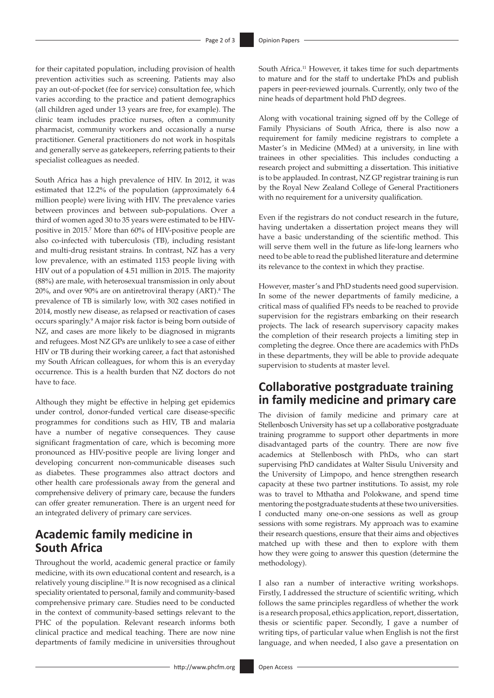for their capitated population, including provision of health prevention activities such as screening. Patients may also pay an out-of-pocket (fee for service) consultation fee, which varies according to the practice and patient demographics (all children aged under 13 years are free, for example). The clinic team includes practice nurses, often a community pharmacist, community workers and occasionally a nurse practitioner. General practitioners do not work in hospitals and generally serve as gatekeepers, referring patients to their specialist colleagues as needed.

South Africa has a high prevalence of HIV. In 2012, it was estimated that 12.2% of the population (approximately 6.4 million people) were living with HIV. The prevalence varies between provinces and between sub-populations. Over a third of women aged 30 to 35 years were estimated to be HIVpositive in 2015.7 More than 60% of HIV-positive people are also co-infected with tuberculosis (TB), including resistant and multi-drug resistant strains. In contrast, NZ has a very low prevalence, with an estimated 1153 people living with HIV out of a population of 4.51 million in 2015. The majority (88%) are male, with heterosexual transmission in only about  $20\%$ , and over 90% are on antiretroviral therapy (ART).<sup>8</sup> The prevalence of TB is similarly low, with 302 cases notified in 2014, mostly new disease, as relapsed or reactivation of cases occurs sparingly.9 A major risk factor is being born outside of NZ, and cases are more likely to be diagnosed in migrants and refugees. Most NZ GPs are unlikely to see a case of either HIV or TB during their working career, a fact that astonished my South African colleagues, for whom this is an everyday occurrence. This is a health burden that NZ doctors do not have to face.

Although they might be effective in helping get epidemics under control, donor-funded vertical care disease-specific programmes for conditions such as HIV, TB and malaria have a number of negative consequences. They cause significant fragmentation of care, which is becoming more pronounced as HIV-positive people are living longer and developing concurrent non-communicable diseases such as diabetes. These programmes also attract doctors and other health care professionals away from the general and comprehensive delivery of primary care, because the funders can offer greater remuneration. There is an urgent need for an integrated delivery of primary care services.

# **Academic family medicine in South Africa**

Throughout the world, academic general practice or family medicine, with its own educational content and research, is a relatively young discipline.10 It is now recognised as a clinical speciality orientated to personal, family and community-based comprehensive primary care. Studies need to be conducted in the context of community-based settings relevant to the PHC of the population. Relevant research informs both clinical practice and medical teaching. There are now nine departments of family medicine in universities throughout South Africa.<sup>11</sup> However, it takes time for such departments to mature and for the staff to undertake PhDs and publish papers in peer-reviewed journals. Currently, only two of the nine heads of department hold PhD degrees.

Along with vocational training signed off by the College of Family Physicians of South Africa, there is also now a requirement for family medicine registrars to complete a Master's in Medicine (MMed) at a university, in line with trainees in other specialities. This includes conducting a research project and submitting a dissertation. This initiative is to be applauded. In contrast, NZ GP registrar training is run by the Royal New Zealand College of General Practitioners with no requirement for a university qualification.

Even if the registrars do not conduct research in the future, having undertaken a dissertation project means they will have a basic understanding of the scientific method. This will serve them well in the future as life-long learners who need to be able to read the published literature and determine its relevance to the context in which they practise.

However, master's and PhD students need good supervision. In some of the newer departments of family medicine, a critical mass of qualified FPs needs to be reached to provide supervision for the registrars embarking on their research projects. The lack of research supervisory capacity makes the completion of their research projects a limiting step in completing the degree. Once there are academics with PhDs in these departments, they will be able to provide adequate supervision to students at master level.

## **Collaborative postgraduate training in family medicine and primary care**

The division of family medicine and primary care at Stellenbosch University has set up a collaborative postgraduate training programme to support other departments in more disadvantaged parts of the country. There are now five academics at Stellenbosch with PhDs, who can start supervising PhD candidates at Walter Sisulu University and the University of Limpopo, and hence strengthen research capacity at these two partner institutions. To assist, my role was to travel to Mthatha and Polokwane, and spend time mentoring the postgraduate students at these two universities. I conducted many one-on-one sessions as well as group sessions with some registrars. My approach was to examine their research questions, ensure that their aims and objectives matched up with these and then to explore with them how they were going to answer this question (determine the methodology).

I also ran a number of interactive writing workshops. Firstly, I addressed the structure of scientific writing, which follows the same principles regardless of whether the work is a research proposal, ethics application, report, dissertation, thesis or scientific paper. Secondly, I gave a number of writing tips, of particular value when English is not the first language, and when needed, I also gave a presentation on